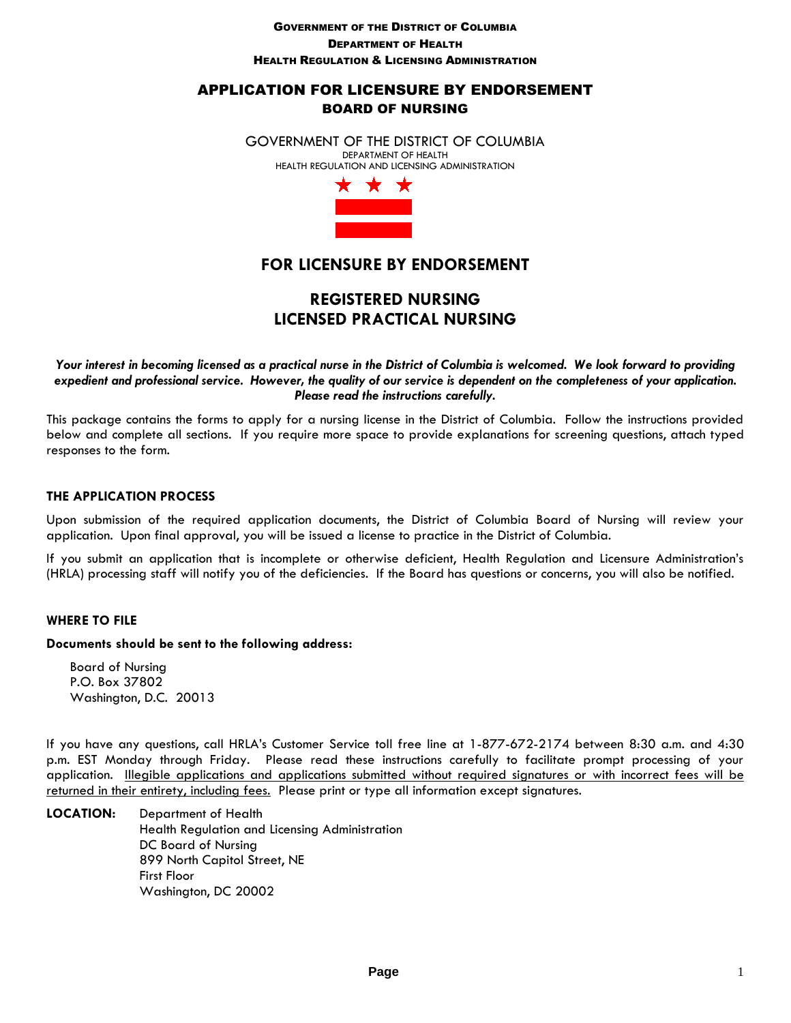#### GOVERNMENT OF THE DISTRICT OF COLUMBIA DEPARTMENT OF HEALTH HEALTH REGULATION & LICENSING ADMINISTRATION

# APPLICATION FOR LICENSURE BY ENDORSEMENT BOARD OF NURSING

GOVERNMENT OF THE DISTRICT OF COLUMBIA DEPARTMENT OF HEALTH HEALTH REGULATION AND LICENSING ADMINISTRATION



# **FOR LICENSURE BY ENDORSEMENT**

# **REGISTERED NURSING LICENSED PRACTICAL NURSING**

*Your interest in becoming licensed as a practical nurse in the District of Columbia is welcomed. We look forward to providing expedient and professional service. However, the quality of our service is dependent on the completeness of your application. Please read the instructions carefully.* 

This package contains the forms to apply for a nursing license in the District of Columbia. Follow the instructions provided below and complete all sections. If you require more space to provide explanations for screening questions, attach typed responses to the form.

## **THE APPLICATION PROCESS**

Upon submission of the required application documents, the District of Columbia Board of Nursing will review your application. Upon final approval, you will be issued a license to practice in the District of Columbia.

If you submit an application that is incomplete or otherwise deficient, Health Regulation and Licensure Administration's (HRLA) processing staff will notify you of the deficiencies. If the Board has questions or concerns, you will also be notified.

#### **WHERE TO FILE**

#### **Documents should be sent to the following address:**

 Board of Nursing P.O. Box 37802 Washington, D.C. 20013

If you have any questions, call HRLA's Customer Service toll free line at 1-877-672-2174 between 8:30 a.m. and 4:30 p.m. EST Monday through Friday. Please read these instructions carefully to facilitate prompt processing of your application. Illegible applications and applications submitted without required signatures or with incorrect fees will be returned in their entirety, including fees. Please print or type all information except signatures.

**LOCATION:** Department of Health Health Regulation and Licensing Administration DC Board of Nursing 899 North Capitol Street, NE First Floor Washington, DC 20002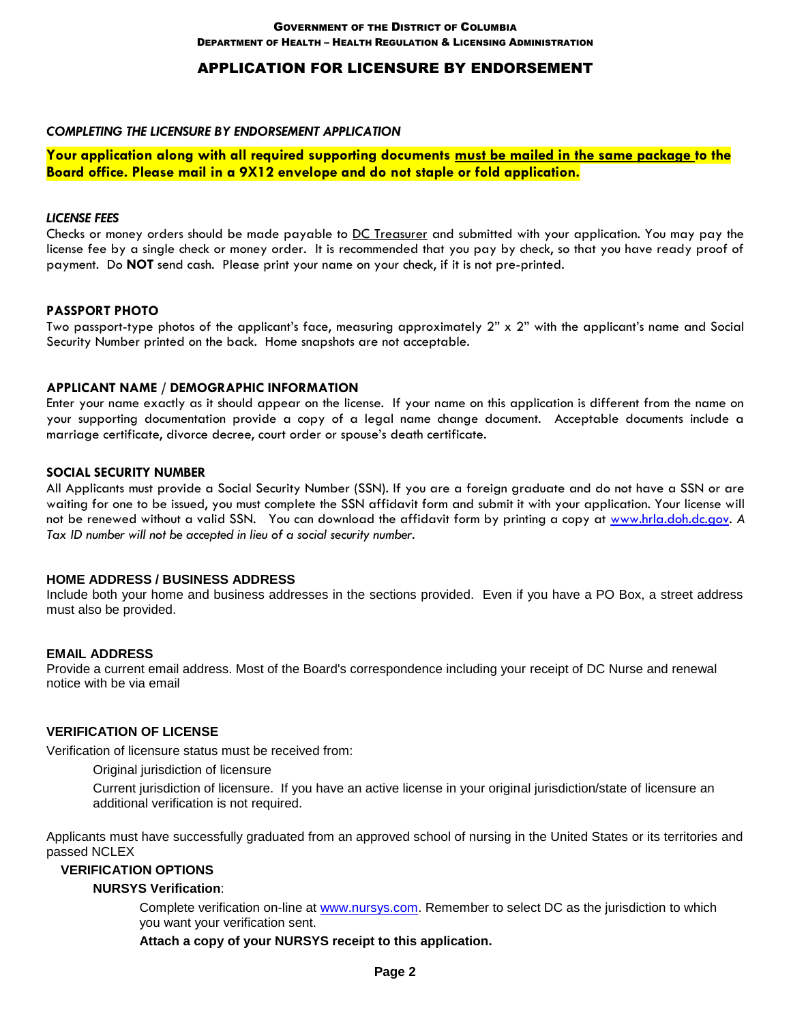## APPLICATION FOR LICENSURE BY ENDORSEMENT

#### *COMPLETING THE LICENSURE BY ENDORSEMENT APPLICATION*

**Your application along with all required supporting documents must be mailed in the same package to the Board office. Please mail in a 9X12 envelope and do not staple or fold application.** 

#### *LICENSE FEES*

Checks or money orders should be made payable to DC Treasurer and submitted with your application. You may pay the license fee by a single check or money order. It is recommended that you pay by check, so that you have ready proof of payment. Do **NOT** send cash. Please print your name on your check, if it is not pre-printed.

#### **PASSPORT PHOTO**

Two passport-type photos of the applicant's face, measuring approximately 2" x 2" with the applicant's name and Social Security Number printed on the back. Home snapshots are not acceptable.

#### **APPLICANT NAME / DEMOGRAPHIC INFORMATION**

Enter your name exactly as it should appear on the license. If your name on this application is different from the name on your supporting documentation provide a copy of a legal name change document. Acceptable documents include a marriage certificate, divorce decree, court order or spouse's death certificate.

#### **SOCIAL SECURITY NUMBER**

All Applicants must provide a Social Security Number (SSN). If you are a foreign graduate and do not have a SSN or are waiting for one to be issued, you must complete the SSN affidavit form and submit it with your application. Your license will not be renewed without a valid SSN. You can download the affidavit form by printing a copy at [www.hrla.doh.dc.gov.](http://www.hpla.doh.dc.gov/) *A Tax ID number will not be accepted in lieu of a social security number.* 

#### **HOME ADDRESS / BUSINESS ADDRESS**

Include both your home and business addresses in the sections provided. Even if you have a PO Box, a street address must also be provided.

#### **EMAIL ADDRESS**

Provide a current email address. Most of the Board's correspondence including your receipt of DC Nurse and renewal notice with be via email

### **VERIFICATION OF LICENSE**

Verification of licensure status must be received from:

Original jurisdiction of licensure

Current jurisdiction of licensure. If you have an active license in your original jurisdiction/state of licensure an additional verification is not required.

Applicants must have successfully graduated from an approved school of nursing in the United States or its territories and passed NCLEX

#### **VERIFICATION OPTIONS**

#### **NURSYS Verification**:

Complete verification on-line at [www.nursys.com.](http://www.nursys.com/) Remember to select DC as the jurisdiction to which you want your verification sent.

**Attach a copy of your NURSYS receipt to this application.**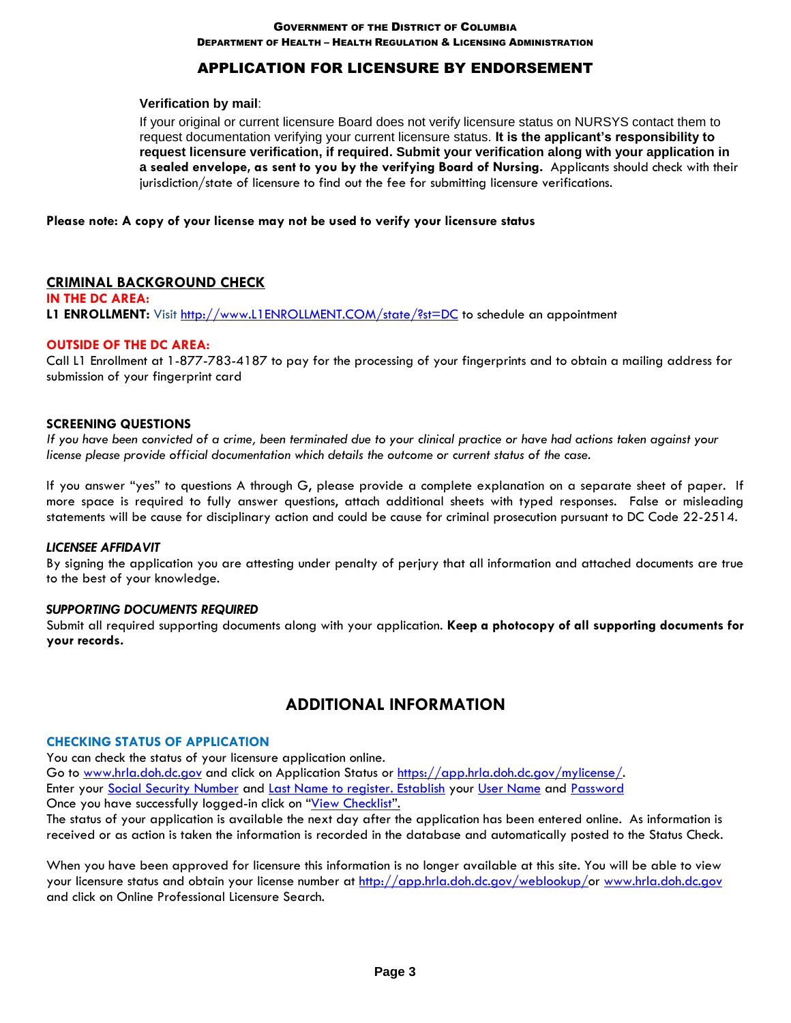DEPARTMENT OF HEALTH – HEALTH REGULATION & LICENSING ADMINISTRATION

# APPLICATION FOR LICENSURE BY ENDORSEMENT

#### **Verification by mail**:

If your original or current licensure Board does not verify licensure status on NURSYS contact them to request documentation verifying your current licensure status. **It is the applicant's responsibility to request licensure verification, if required. Submit your verification along with your application in a sealed envelope, as sent to you by the verifying Board of Nursing.** Applicants should check with their jurisdiction/state of licensure to find out the fee for submitting licensure verifications.

#### **Please note: A copy of your license may not be used to verify your licensure status**

### **CRIMINAL BACKGROUND CHECK**

**IN THE DC AREA: L1 ENROLLMENT:** Visit [http://www.L1ENROLLMENT.COM/state/?st=DC](http://www.l1enrollment.com/state/?st=DC) to schedule an appointment

#### **OUTSIDE OF THE DC AREA:**

Call L1 Enrollment at 1-877-783-4187 to pay for the processing of your fingerprints and to obtain a mailing address for submission of your fingerprint card

#### **SCREENING QUESTIONS**

*If you have been convicted of a crime, been terminated due to your clinical practice or have had actions taken against your license please provide official documentation which details the outcome or current status of the case.* 

If you answer "yes" to questions A through G, please provide a complete explanation on a separate sheet of paper. If more space is required to fully answer questions, attach additional sheets with typed responses. False or misleading statements will be cause for disciplinary action and could be cause for criminal prosecution pursuant to DC Code 22-2514.

#### *LICENSEE AFFIDAVIT*

By signing the application you are attesting under penalty of perjury that all information and attached documents are true to the best of your knowledge.

#### *SUPPORTING DOCUMENTS REQUIRED*

Submit all required supporting documents along with your application. **Keep a photocopy of all supporting documents for your records.**

# **ADDITIONAL INFORMATION**

#### **CHECKING STATUS OF APPLICATION**

You can check the status of your licensure application online. Go to [www.hrla.doh.dc.gov](http://www.hpla.doh.dc.gov/) and click on Application Status or [https://app.hrla.doh.dc.gov/mylicense/.](https://app.hpla.doh.dc.gov/mylicense/) Enter your Social Security Number and Last Name to register. Establish your User Name and Password Once you have successfully logged-in click on "View Checklist".

The status of your application is available the next day after the application has been entered online. As information is received or as action is taken the information is recorded in the database and automatically posted to the Status Check.

When you have been approved for licensure this information is no longer available at this site. You will be able to view your licensure status and obtain your license number at [http://app.hrla.doh.dc.gov/weblookup/o](http://app.hpla.doh.dc.gov/weblookup/)r [www.hrla.doh.dc.gov](http://www.hpla.doh.dc.gov/) and click on Online Professional Licensure Search.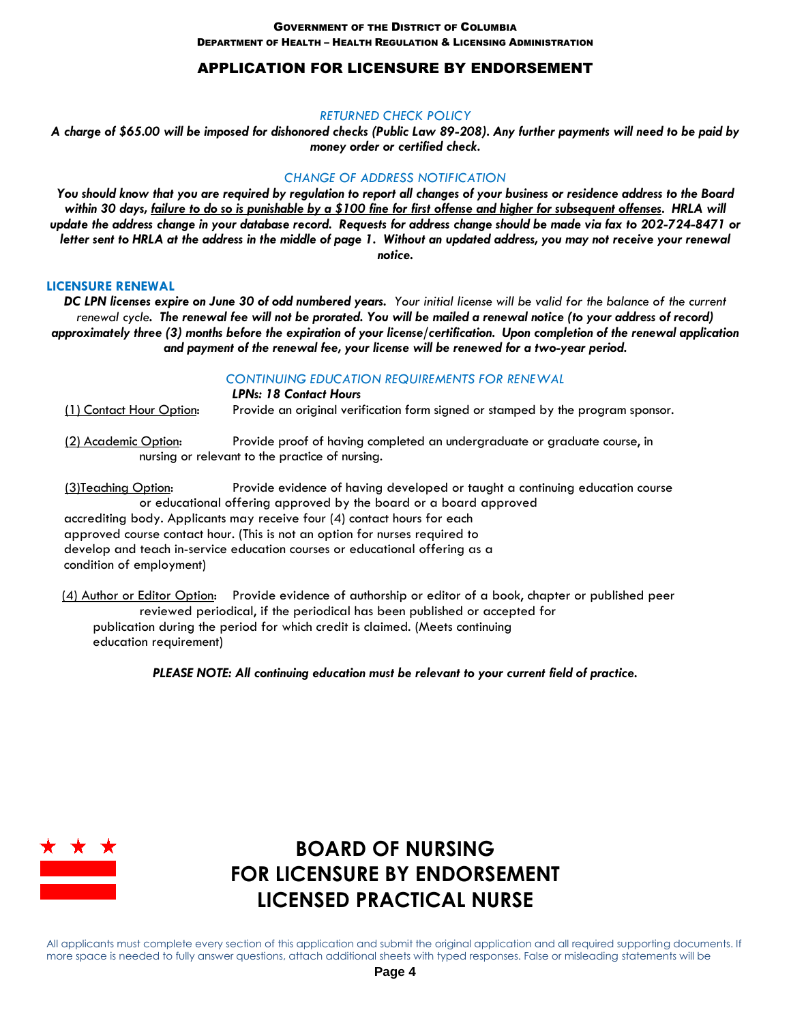# APPLICATION FOR LICENSURE BY ENDORSEMENT

#### *RETURNED CHECK POLICY*

*A charge of \$65.00 will be imposed for dishonored checks (Public Law 89-208). Any further payments will need to be paid by money order or certified check.*

### *CHANGE OF ADDRESS NOTIFICATION*

*You should know that you are required by regulation to report all changes of your business or residence address to the Board within 30 days, failure to do so is punishable by a \$100 fine for first offense and higher for subsequent offenses. HRLA will update the address change in your database record. Requests for address change should be made via fax to 202-724-8471 or letter sent to HRLA at the address in the middle of page 1. Without an updated address, you may not receive your renewal notice.*

#### **LICENSURE RENEWAL**

*DC LPN licenses expire on June 30 of odd numbered years. Your initial license will be valid for the balance of the current renewal cycle. The renewal fee will not be prorated. You will be mailed a renewal notice (to your address of record) approximately three (3) months before the expiration of your license/certification. Upon completion of the renewal application and payment of the renewal fee, your license will be renewed for a two-year period.* 

### *CONTINUING EDUCATION REQUIREMENTS FOR RENEWAL*

*LPNs: 18 Contact Hours* (1) Contact Hour Option: Provide an original verification form signed or stamped by the program sponsor.

 (2) Academic Option: Provide proof of having completed an undergraduate or graduate course, in nursing or relevant to the practice of nursing.

 (3)Teaching Option: Provide evidence of having developed or taught a continuing education course or educational offering approved by the board or a board approved accrediting body. Applicants may receive four (4) contact hours for each approved course contact hour. (This is not an option for nurses required to develop and teach in-service education courses or educational offering as a condition of employment)

 (4) Author or Editor Option: Provide evidence of authorship or editor of a book, chapter or published peer reviewed periodical, if the periodical has been published or accepted for publication during the period for which credit is claimed. (Meets continuing education requirement)

*PLEASE NOTE: All continuing education must be relevant to your current field of practice.*



# **BOARD OF NURSING FOR LICENSURE BY ENDORSEMENT LICENSED PRACTICAL NURSE**

All applicants must complete every section of this application and submit the original application and all required supporting documents. If more space is needed to fully answer questions, attach additional sheets with typed responses. False or misleading statements will be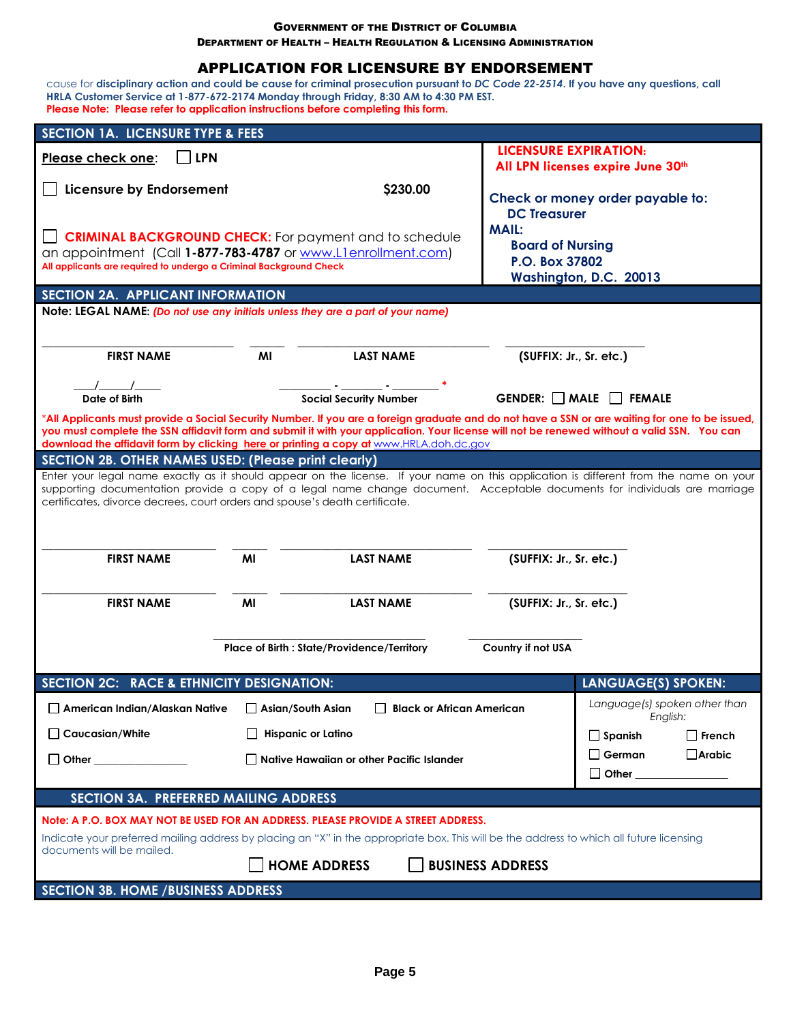DEPARTMENT OF HEALTH – HEALTH REGULATION & LICENSING ADMINISTRATION

## APPLICATION FOR LICENSURE BY ENDORSEMENT

cause for **disciplinary action and could be cause for criminal prosecution pursuant to** *DC Code 22-2514***. If you have any questions, call HRLA Customer Service at 1-877-672-2174 Monday through Friday, 8:30 AM to 4:30 PM EST. Please Note: Please refer to application instructions before completing this form.**

| <b>SECTION 1A. LICENSURE TYPE &amp; FEES</b>                                                                                                                                                                                                                                                   |                                             |                                             |                                   |                                           |  |  |  |
|------------------------------------------------------------------------------------------------------------------------------------------------------------------------------------------------------------------------------------------------------------------------------------------------|---------------------------------------------|---------------------------------------------|-----------------------------------|-------------------------------------------|--|--|--|
| <b>LPN</b><br>Please check one:                                                                                                                                                                                                                                                                |                                             |                                             | <b>LICENSURE EXPIRATION:</b>      |                                           |  |  |  |
|                                                                                                                                                                                                                                                                                                |                                             |                                             |                                   | All LPN licenses expire June 30th         |  |  |  |
| Licensure by Endorsement                                                                                                                                                                                                                                                                       |                                             | \$230.00                                    |                                   | Check or money order payable to:          |  |  |  |
|                                                                                                                                                                                                                                                                                                |                                             |                                             | <b>DC Treasurer</b>               |                                           |  |  |  |
| <b>CRIMINAL BACKGROUND CHECK:</b> For payment and to schedule                                                                                                                                                                                                                                  |                                             |                                             | <b>MAIL:</b>                      |                                           |  |  |  |
| an appointment (Call 1-877-783-4787 or www.Llenrollment.com)                                                                                                                                                                                                                                   |                                             |                                             | <b>Board of Nursing</b>           |                                           |  |  |  |
| All applicants are required to undergo a Criminal Background Check                                                                                                                                                                                                                             |                                             |                                             | P.O. Box 37802                    | Washington, D.C. 20013                    |  |  |  |
| SECTION 2A. APPLICANT INFORMATION                                                                                                                                                                                                                                                              |                                             |                                             |                                   |                                           |  |  |  |
| Note: LEGAL NAME: (Do not use any initials unless they are a part of your name)                                                                                                                                                                                                                |                                             |                                             |                                   |                                           |  |  |  |
|                                                                                                                                                                                                                                                                                                |                                             |                                             |                                   |                                           |  |  |  |
|                                                                                                                                                                                                                                                                                                |                                             |                                             |                                   | (SUFFIX: Jr., Sr. etc.)                   |  |  |  |
| <b>FIRST NAME</b>                                                                                                                                                                                                                                                                              | MI                                          | <b>LAST NAME</b>                            |                                   |                                           |  |  |  |
|                                                                                                                                                                                                                                                                                                |                                             |                                             |                                   |                                           |  |  |  |
| Date of Birth                                                                                                                                                                                                                                                                                  |                                             | <b>Social Security Number</b>               | GENDER: $\Box$ MALE $\Box$ FEMALE |                                           |  |  |  |
| *All Applicants must provide a Social Security Number. If you are a foreign graduate and do not have a SSN or are waiting for one to be issued,<br>you must complete the SSN affidavit form and submit it with your application. Your license will not be renewed without a valid SSN. You can |                                             |                                             |                                   |                                           |  |  |  |
| download the affidavit form by clicking here or printing a copy at www.HRLA.doh.dc.gov                                                                                                                                                                                                         |                                             |                                             |                                   |                                           |  |  |  |
| <b>SECTION 2B. OTHER NAMES USED: (Please print clearly)</b>                                                                                                                                                                                                                                    |                                             |                                             |                                   |                                           |  |  |  |
| Enter your legal name exactly as it should appear on the license. If your name on this application is different from the name on your<br>supporting documentation provide a copy of a legal name change document. Acceptable documents for individuals are marriage                            |                                             |                                             |                                   |                                           |  |  |  |
| certificates, divorce decrees, court orders and spouse's death certificate.                                                                                                                                                                                                                    |                                             |                                             |                                   |                                           |  |  |  |
|                                                                                                                                                                                                                                                                                                |                                             |                                             |                                   |                                           |  |  |  |
|                                                                                                                                                                                                                                                                                                |                                             |                                             |                                   |                                           |  |  |  |
| <b>FIRST NAME</b>                                                                                                                                                                                                                                                                              | MI                                          | <b>LAST NAME</b>                            | (SUFFIX: Jr., Sr. etc.)           |                                           |  |  |  |
|                                                                                                                                                                                                                                                                                                |                                             |                                             |                                   |                                           |  |  |  |
| <b>FIRST NAME</b>                                                                                                                                                                                                                                                                              | MI                                          | <b>LAST NAME</b>                            |                                   |                                           |  |  |  |
|                                                                                                                                                                                                                                                                                                |                                             |                                             | (SUFFIX: Jr., Sr. etc.)           |                                           |  |  |  |
|                                                                                                                                                                                                                                                                                                |                                             |                                             |                                   |                                           |  |  |  |
|                                                                                                                                                                                                                                                                                                | Place of Birth : State/Providence/Territory |                                             | Country if not USA                |                                           |  |  |  |
|                                                                                                                                                                                                                                                                                                |                                             |                                             |                                   |                                           |  |  |  |
| SECTION 2C: RACE & ETHNICITY DESIGNATION:                                                                                                                                                                                                                                                      |                                             |                                             |                                   | <b>LANGUAGE(S) SPOKEN:</b>                |  |  |  |
| American Indian/Alaskan Native                                                                                                                                                                                                                                                                 | $\Box$ Asian/South Asian                    | <b>Black or African American</b>            |                                   | Language(s) spoken other than<br>English: |  |  |  |
| $\Box$ Caucasian/White                                                                                                                                                                                                                                                                         | <b>Hispanic or Latino</b>                   |                                             |                                   | $\square$ French<br>$\Box$ Spanish        |  |  |  |
| $\Box$ Other $\Box$                                                                                                                                                                                                                                                                            |                                             | □ Native Hawaiian or other Pacific Islander |                                   | $\Box$ German<br>$\Box$ Arabic            |  |  |  |
|                                                                                                                                                                                                                                                                                                |                                             |                                             |                                   | □ Other ________________                  |  |  |  |
| SECTION 3A. PREFERRED MAILING ADDRESS                                                                                                                                                                                                                                                          |                                             |                                             |                                   |                                           |  |  |  |
|                                                                                                                                                                                                                                                                                                |                                             |                                             |                                   |                                           |  |  |  |
| Note: A P.O. BOX MAY NOT BE USED FOR AN ADDRESS. PLEASE PROVIDE A STREET ADDRESS.                                                                                                                                                                                                              |                                             |                                             |                                   |                                           |  |  |  |
| Indicate your preferred mailing address by placing an "X" in the appropriate box. This will be the address to which all future licensing<br>documents will be mailed.                                                                                                                          |                                             |                                             |                                   |                                           |  |  |  |
|                                                                                                                                                                                                                                                                                                | <b>HOME ADDRESS</b>                         |                                             | <b>BUSINESS ADDRESS</b>           |                                           |  |  |  |
| <b>SECTION 3B. HOME / BUSINESS ADDRESS</b>                                                                                                                                                                                                                                                     |                                             |                                             |                                   |                                           |  |  |  |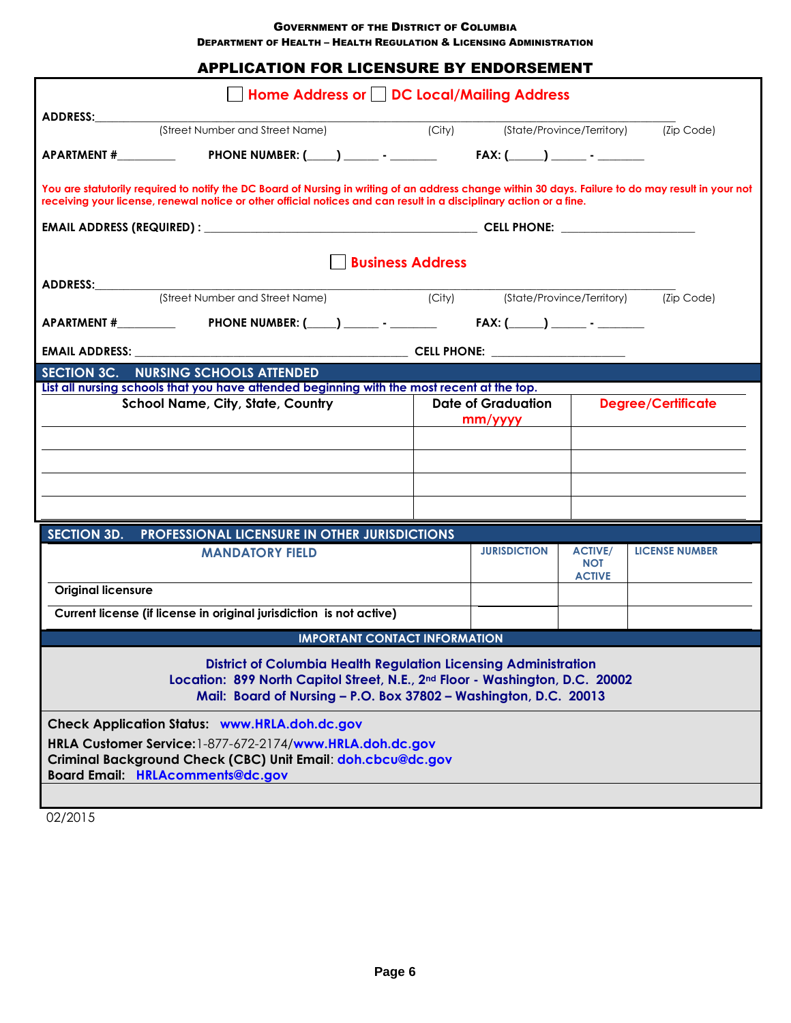DEPARTMENT OF HEALTH – HEALTH REGULATION & LICENSING ADMINISTRATION

| <b>APPLICATION FOR LICENSURE BY ENDORSEMENT</b>                                                                                                                                                                                                                            |                                                                                               |  |  |  |  |  |  |  |  |
|----------------------------------------------------------------------------------------------------------------------------------------------------------------------------------------------------------------------------------------------------------------------------|-----------------------------------------------------------------------------------------------|--|--|--|--|--|--|--|--|
| Home Address or     DC Local/Mailing Address                                                                                                                                                                                                                               |                                                                                               |  |  |  |  |  |  |  |  |
| ADDRESS:                                                                                                                                                                                                                                                                   |                                                                                               |  |  |  |  |  |  |  |  |
| (Street Number and Street Name) (City)                                                                                                                                                                                                                                     | (State/Province/Territory) (Zip Code)                                                         |  |  |  |  |  |  |  |  |
|                                                                                                                                                                                                                                                                            |                                                                                               |  |  |  |  |  |  |  |  |
| You are statutorily required to notify the DC Board of Nursing in writing of an address change within 30 days. Failure to do may result in your not<br>receiving your license, renewal notice or other official notices and can result in a disciplinary action or a fine. |                                                                                               |  |  |  |  |  |  |  |  |
|                                                                                                                                                                                                                                                                            |                                                                                               |  |  |  |  |  |  |  |  |
| <b>Business Address</b>                                                                                                                                                                                                                                                    |                                                                                               |  |  |  |  |  |  |  |  |
| ADDRESS:___________                                                                                                                                                                                                                                                        |                                                                                               |  |  |  |  |  |  |  |  |
| (Street Number and Street Name)                                                                                                                                                                                                                                            | (City) (State/Province/Territory) (Zip Code)                                                  |  |  |  |  |  |  |  |  |
|                                                                                                                                                                                                                                                                            |                                                                                               |  |  |  |  |  |  |  |  |
|                                                                                                                                                                                                                                                                            |                                                                                               |  |  |  |  |  |  |  |  |
| SECTION 3C. NURSING SCHOOLS ATTENDED                                                                                                                                                                                                                                       |                                                                                               |  |  |  |  |  |  |  |  |
| List all nursing schools that you have attended beginning with the most recent at the top.                                                                                                                                                                                 |                                                                                               |  |  |  |  |  |  |  |  |
| <b>School Name, City, State, Country</b>                                                                                                                                                                                                                                   | <b>Date of Graduation</b><br><b>Degree/Certificate</b>                                        |  |  |  |  |  |  |  |  |
|                                                                                                                                                                                                                                                                            | mm/yyy                                                                                        |  |  |  |  |  |  |  |  |
|                                                                                                                                                                                                                                                                            |                                                                                               |  |  |  |  |  |  |  |  |
|                                                                                                                                                                                                                                                                            |                                                                                               |  |  |  |  |  |  |  |  |
|                                                                                                                                                                                                                                                                            |                                                                                               |  |  |  |  |  |  |  |  |
|                                                                                                                                                                                                                                                                            |                                                                                               |  |  |  |  |  |  |  |  |
|                                                                                                                                                                                                                                                                            |                                                                                               |  |  |  |  |  |  |  |  |
| <b>SECTION 3D.</b><br>PROFESSIONAL LICENSURE IN OTHER JURISDICTIONS                                                                                                                                                                                                        |                                                                                               |  |  |  |  |  |  |  |  |
| <b>MANDATORY FIELD</b>                                                                                                                                                                                                                                                     | <b>JURISDICTION</b><br><b>LICENSE NUMBER</b><br><b>ACTIVE/</b><br><b>NOT</b><br><b>ACTIVE</b> |  |  |  |  |  |  |  |  |
| <b>Original licensure</b>                                                                                                                                                                                                                                                  |                                                                                               |  |  |  |  |  |  |  |  |
| Current license (if license in original jurisdiction is not active)                                                                                                                                                                                                        |                                                                                               |  |  |  |  |  |  |  |  |
| <b>IMPORTANT CONTACT INFORMATION</b>                                                                                                                                                                                                                                       |                                                                                               |  |  |  |  |  |  |  |  |
| <b>District of Columbia Health Regulation Licensing Administration</b><br>Location: 899 North Capitol Street, N.E., 2nd Floor - Washington, D.C. 20002<br>Mail: Board of Nursing - P.O. Box 37802 - Washington, D.C. 20013                                                 |                                                                                               |  |  |  |  |  |  |  |  |
| <b>Check Application Status: www.HRLA.doh.dc.gov</b><br>HRLA Customer Service: 1-877-672-2174/www.HRLA.doh.dc.gov                                                                                                                                                          |                                                                                               |  |  |  |  |  |  |  |  |
| Criminal Background Check (CBC) Unit Email: doh.cbcu@dc.gov<br><b>Board Email: HRLAcomments@dc.gov</b>                                                                                                                                                                     |                                                                                               |  |  |  |  |  |  |  |  |
|                                                                                                                                                                                                                                                                            |                                                                                               |  |  |  |  |  |  |  |  |

02/2015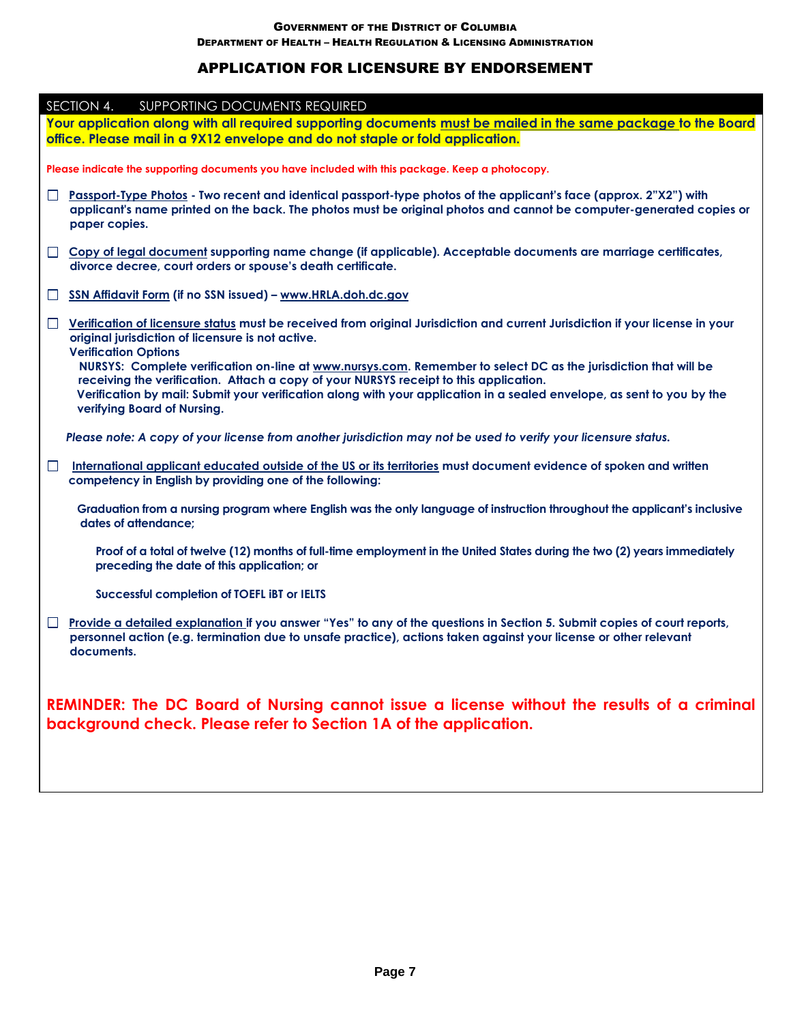DEPARTMENT OF HEALTH – HEALTH REGULATION & LICENSING ADMINISTRATION

# APPLICATION FOR LICENSURE BY ENDORSEMENT

| SECTION 4. SUPPORTING DOCUMENTS REQUIRED                                                                                                                                                                                                                                                                                                                          |  |  |  |  |  |
|-------------------------------------------------------------------------------------------------------------------------------------------------------------------------------------------------------------------------------------------------------------------------------------------------------------------------------------------------------------------|--|--|--|--|--|
| Your application along with all required supporting documents must be mailed in the same package to the Board                                                                                                                                                                                                                                                     |  |  |  |  |  |
| office. Please mail in a 9X12 envelope and do not staple or fold application.                                                                                                                                                                                                                                                                                     |  |  |  |  |  |
| Please indicate the supporting documents you have included with this package. Keep a photocopy.                                                                                                                                                                                                                                                                   |  |  |  |  |  |
| Passport-Type Photos - Two recent and identical passport-type photos of the applicant's face (approx. 2"X2") with<br>U<br>applicant's name printed on the back. The photos must be original photos and cannot be computer-generated copies or<br>paper copies.                                                                                                    |  |  |  |  |  |
| □ Copy of legal document supporting name change (if applicable). Acceptable documents are marriage certificates,<br>divorce decree, court orders or spouse's death certificate.                                                                                                                                                                                   |  |  |  |  |  |
| SSN Affidavit Form (if no SSN issued) - www.HRLA.doh.dc.gov<br>$\Box$                                                                                                                                                                                                                                                                                             |  |  |  |  |  |
| □ Verification of licensure status must be received from original Jurisdiction and current Jurisdiction if your license in your<br>original jurisdiction of licensure is not active.<br><b>Verification Options</b>                                                                                                                                               |  |  |  |  |  |
| NURSYS: Complete verification on-line at www.nursys.com. Remember to select DC as the jurisdiction that will be<br>receiving the verification. Attach a copy of your NURSYS receipt to this application.<br>Verification by mail: Submit your verification along with your application in a sealed envelope, as sent to you by the<br>verifying Board of Nursing. |  |  |  |  |  |
| Please note: A copy of your license from another jurisdiction may not be used to verify your licensure status.                                                                                                                                                                                                                                                    |  |  |  |  |  |
| $\Box$<br>International applicant educated outside of the US or its territories must document evidence of spoken and written<br>competency in English by providing one of the following:                                                                                                                                                                          |  |  |  |  |  |
| Graduation from a nursing program where English was the only language of instruction throughout the applicant's inclusive<br>dates of attendance;                                                                                                                                                                                                                 |  |  |  |  |  |
| Proof of a total of twelve (12) months of full-time employment in the United States during the two (2) years immediately<br>preceding the date of this application; or                                                                                                                                                                                            |  |  |  |  |  |
| Successful completion of TOEFL IBT or IELTS                                                                                                                                                                                                                                                                                                                       |  |  |  |  |  |
| Provide a detailed explanation if you answer "Yes" to any of the questions in Section 5. Submit copies of court reports,<br>$\Box$<br>personnel action (e.g. termination due to unsafe practice), actions taken against your license or other relevant<br>documents.                                                                                              |  |  |  |  |  |
| REMINDER: The DC Board of Nursing cannot issue a license without the results of a criminal<br>background check. Please refer to Section 1A of the application.                                                                                                                                                                                                    |  |  |  |  |  |